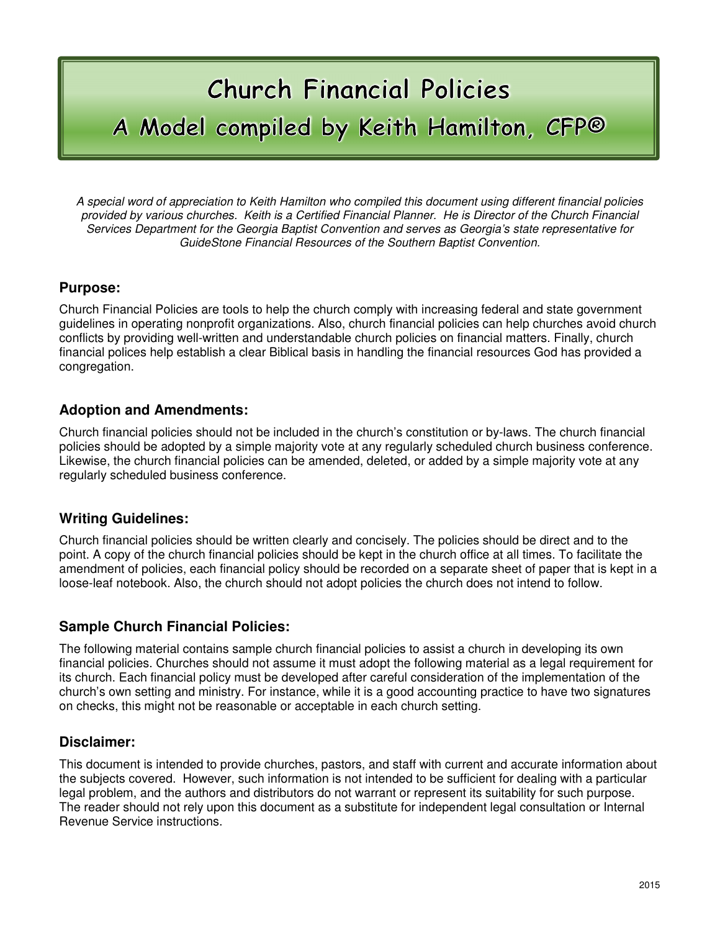# **Church Financial Policies** A Model compiled by Keith Hamilton, CFP®

A special word of appreciation to Keith Hamilton who compiled this document using different financial policies provided by various churches. Keith is a Certified Financial Planner. He is Director of the Church Financial Services Department for the Georgia Baptist Convention and serves as Georgia's state representative for GuideStone Financial Resources of the Southern Baptist Convention.

#### **Purpose:**

Church Financial Policies are tools to help the church comply with increasing federal and state government guidelines in operating nonprofit organizations. Also, church financial policies can help churches avoid church conflicts by providing well-written and understandable church policies on financial matters. Finally, church financial polices help establish a clear Biblical basis in handling the financial resources God has provided a congregation.

#### **Adoption and Amendments:**

Church financial policies should not be included in the church's constitution or by-laws. The church financial policies should be adopted by a simple majority vote at any regularly scheduled church business conference. Likewise, the church financial policies can be amended, deleted, or added by a simple majority vote at any regularly scheduled business conference.

#### **Writing Guidelines:**

Church financial policies should be written clearly and concisely. The policies should be direct and to the point. A copy of the church financial policies should be kept in the church office at all times. To facilitate the amendment of policies, each financial policy should be recorded on a separate sheet of paper that is kept in a loose-leaf notebook. Also, the church should not adopt policies the church does not intend to follow.

#### **Sample Church Financial Policies:**

The following material contains sample church financial policies to assist a church in developing its own financial policies. Churches should not assume it must adopt the following material as a legal requirement for its church. Each financial policy must be developed after careful consideration of the implementation of the church's own setting and ministry. For instance, while it is a good accounting practice to have two signatures on checks, this might not be reasonable or acceptable in each church setting.

#### **Disclaimer:**

This document is intended to provide churches, pastors, and staff with current and accurate information about the subjects covered. However, such information is not intended to be sufficient for dealing with a particular legal problem, and the authors and distributors do not warrant or represent its suitability for such purpose. The reader should not rely upon this document as a substitute for independent legal consultation or Internal Revenue Service instructions.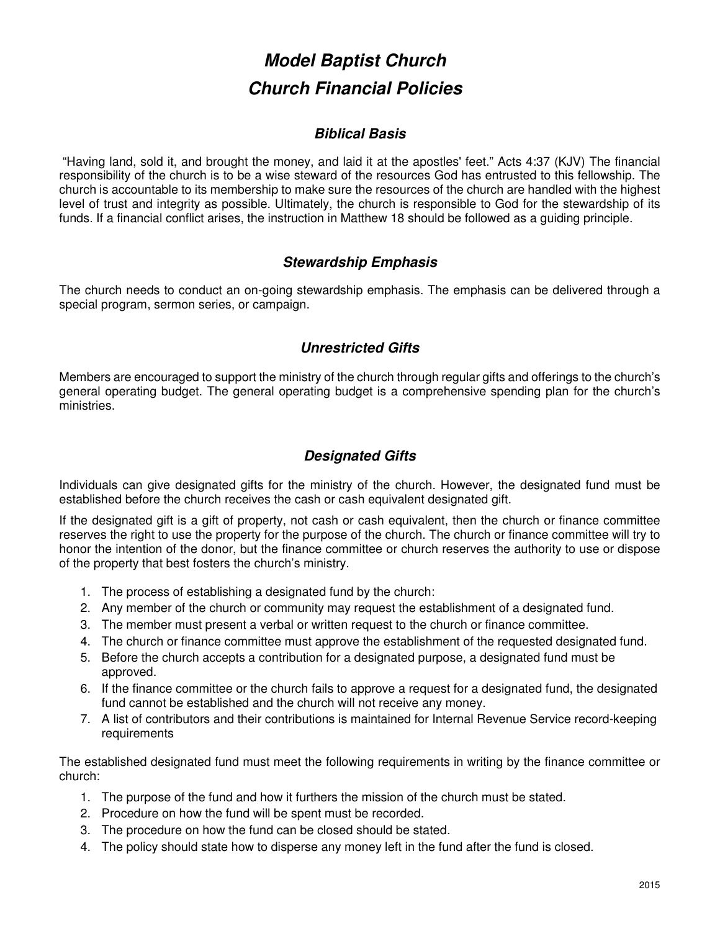# **Model Baptist Church Church Financial Policies**

## **Biblical Basis**

 "Having land, sold it, and brought the money, and laid it at the apostles' feet." Acts 4:37 (KJV) The financial responsibility of the church is to be a wise steward of the resources God has entrusted to this fellowship. The church is accountable to its membership to make sure the resources of the church are handled with the highest level of trust and integrity as possible. Ultimately, the church is responsible to God for the stewardship of its funds. If a financial conflict arises, the instruction in Matthew 18 should be followed as a guiding principle.

## **Stewardship Emphasis**

The church needs to conduct an on-going stewardship emphasis. The emphasis can be delivered through a special program, sermon series, or campaign.

## **Unrestricted Gifts**

Members are encouraged to support the ministry of the church through regular gifts and offerings to the church's general operating budget. The general operating budget is a comprehensive spending plan for the church's ministries.

# **Designated Gifts**

Individuals can give designated gifts for the ministry of the church. However, the designated fund must be established before the church receives the cash or cash equivalent designated gift.

If the designated gift is a gift of property, not cash or cash equivalent, then the church or finance committee reserves the right to use the property for the purpose of the church. The church or finance committee will try to honor the intention of the donor, but the finance committee or church reserves the authority to use or dispose of the property that best fosters the church's ministry.

- 1. The process of establishing a designated fund by the church:
- 2. Any member of the church or community may request the establishment of a designated fund.
- 3. The member must present a verbal or written request to the church or finance committee.
- 4. The church or finance committee must approve the establishment of the requested designated fund.
- 5. Before the church accepts a contribution for a designated purpose, a designated fund must be approved.
- 6. If the finance committee or the church fails to approve a request for a designated fund, the designated fund cannot be established and the church will not receive any money.
- 7. A list of contributors and their contributions is maintained for Internal Revenue Service record-keeping requirements

The established designated fund must meet the following requirements in writing by the finance committee or church:

- 1. The purpose of the fund and how it furthers the mission of the church must be stated.
- 2. Procedure on how the fund will be spent must be recorded.
- 3. The procedure on how the fund can be closed should be stated.
- 4. The policy should state how to disperse any money left in the fund after the fund is closed.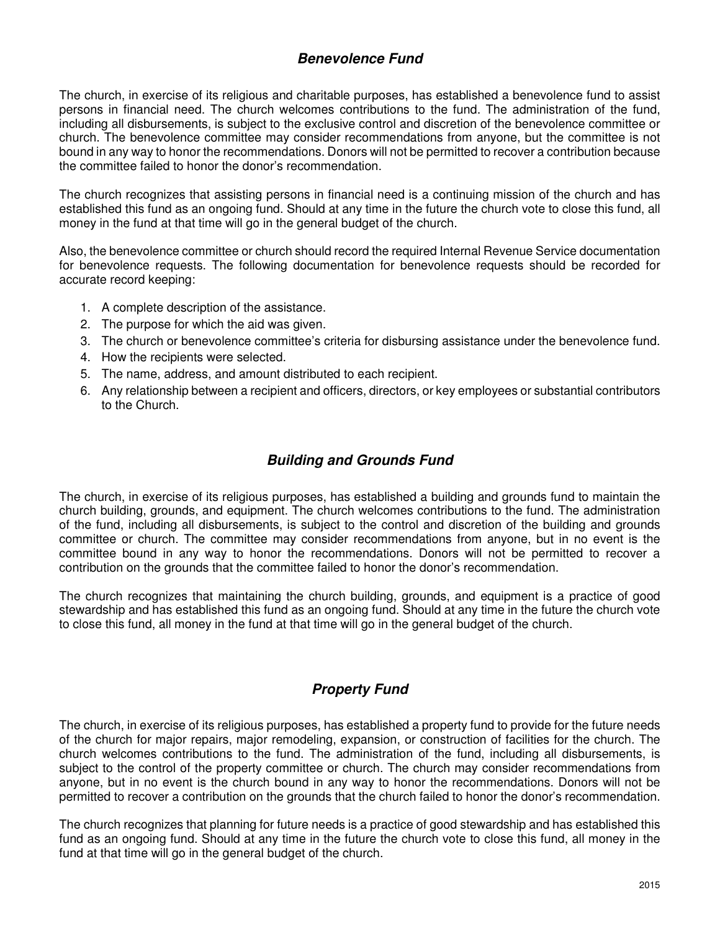#### **Benevolence Fund**

The church, in exercise of its religious and charitable purposes, has established a benevolence fund to assist persons in financial need. The church welcomes contributions to the fund. The administration of the fund, including all disbursements, is subject to the exclusive control and discretion of the benevolence committee or church. The benevolence committee may consider recommendations from anyone, but the committee is not bound in any way to honor the recommendations. Donors will not be permitted to recover a contribution because the committee failed to honor the donor's recommendation.

The church recognizes that assisting persons in financial need is a continuing mission of the church and has established this fund as an ongoing fund. Should at any time in the future the church vote to close this fund, all money in the fund at that time will go in the general budget of the church.

Also, the benevolence committee or church should record the required Internal Revenue Service documentation for benevolence requests. The following documentation for benevolence requests should be recorded for accurate record keeping:

- 1. A complete description of the assistance.
- 2. The purpose for which the aid was given.
- 3. The church or benevolence committee's criteria for disbursing assistance under the benevolence fund.
- 4. How the recipients were selected.
- 5. The name, address, and amount distributed to each recipient.
- 6. Any relationship between a recipient and officers, directors, or key employees or substantial contributors to the Church.

# **Building and Grounds Fund**

The church, in exercise of its religious purposes, has established a building and grounds fund to maintain the church building, grounds, and equipment. The church welcomes contributions to the fund. The administration of the fund, including all disbursements, is subject to the control and discretion of the building and grounds committee or church. The committee may consider recommendations from anyone, but in no event is the committee bound in any way to honor the recommendations. Donors will not be permitted to recover a contribution on the grounds that the committee failed to honor the donor's recommendation.

The church recognizes that maintaining the church building, grounds, and equipment is a practice of good stewardship and has established this fund as an ongoing fund. Should at any time in the future the church vote to close this fund, all money in the fund at that time will go in the general budget of the church.

# **Property Fund**

The church, in exercise of its religious purposes, has established a property fund to provide for the future needs of the church for major repairs, major remodeling, expansion, or construction of facilities for the church. The church welcomes contributions to the fund. The administration of the fund, including all disbursements, is subject to the control of the property committee or church. The church may consider recommendations from anyone, but in no event is the church bound in any way to honor the recommendations. Donors will not be permitted to recover a contribution on the grounds that the church failed to honor the donor's recommendation.

The church recognizes that planning for future needs is a practice of good stewardship and has established this fund as an ongoing fund. Should at any time in the future the church vote to close this fund, all money in the fund at that time will go in the general budget of the church.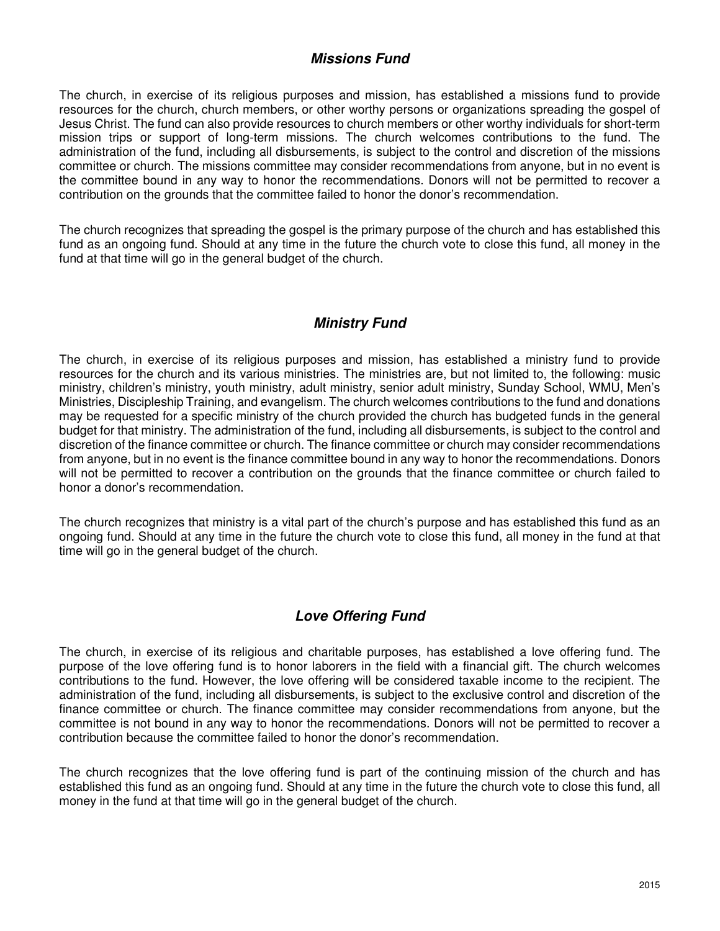#### **Missions Fund**

The church, in exercise of its religious purposes and mission, has established a missions fund to provide resources for the church, church members, or other worthy persons or organizations spreading the gospel of Jesus Christ. The fund can also provide resources to church members or other worthy individuals for short-term mission trips or support of long-term missions. The church welcomes contributions to the fund. The administration of the fund, including all disbursements, is subject to the control and discretion of the missions committee or church. The missions committee may consider recommendations from anyone, but in no event is the committee bound in any way to honor the recommendations. Donors will not be permitted to recover a contribution on the grounds that the committee failed to honor the donor's recommendation.

The church recognizes that spreading the gospel is the primary purpose of the church and has established this fund as an ongoing fund. Should at any time in the future the church vote to close this fund, all money in the fund at that time will go in the general budget of the church.

# **Ministry Fund**

The church, in exercise of its religious purposes and mission, has established a ministry fund to provide resources for the church and its various ministries. The ministries are, but not limited to, the following: music ministry, children's ministry, youth ministry, adult ministry, senior adult ministry, Sunday School, WMU, Men's Ministries, Discipleship Training, and evangelism. The church welcomes contributions to the fund and donations may be requested for a specific ministry of the church provided the church has budgeted funds in the general budget for that ministry. The administration of the fund, including all disbursements, is subject to the control and discretion of the finance committee or church. The finance committee or church may consider recommendations from anyone, but in no event is the finance committee bound in any way to honor the recommendations. Donors will not be permitted to recover a contribution on the grounds that the finance committee or church failed to honor a donor's recommendation.

The church recognizes that ministry is a vital part of the church's purpose and has established this fund as an ongoing fund. Should at any time in the future the church vote to close this fund, all money in the fund at that time will go in the general budget of the church.

# **Love Offering Fund**

The church, in exercise of its religious and charitable purposes, has established a love offering fund. The purpose of the love offering fund is to honor laborers in the field with a financial gift. The church welcomes contributions to the fund. However, the love offering will be considered taxable income to the recipient. The administration of the fund, including all disbursements, is subject to the exclusive control and discretion of the finance committee or church. The finance committee may consider recommendations from anyone, but the committee is not bound in any way to honor the recommendations. Donors will not be permitted to recover a contribution because the committee failed to honor the donor's recommendation.

The church recognizes that the love offering fund is part of the continuing mission of the church and has established this fund as an ongoing fund. Should at any time in the future the church vote to close this fund, all money in the fund at that time will go in the general budget of the church.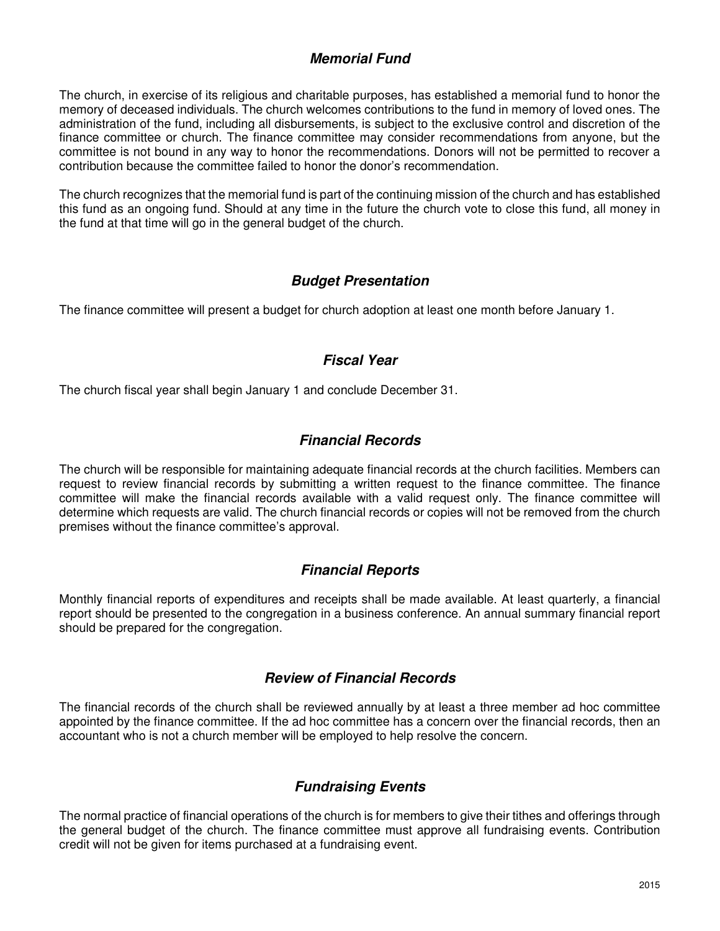#### **Memorial Fund**

The church, in exercise of its religious and charitable purposes, has established a memorial fund to honor the memory of deceased individuals. The church welcomes contributions to the fund in memory of loved ones. The administration of the fund, including all disbursements, is subject to the exclusive control and discretion of the finance committee or church. The finance committee may consider recommendations from anyone, but the committee is not bound in any way to honor the recommendations. Donors will not be permitted to recover a contribution because the committee failed to honor the donor's recommendation.

The church recognizes that the memorial fund is part of the continuing mission of the church and has established this fund as an ongoing fund. Should at any time in the future the church vote to close this fund, all money in the fund at that time will go in the general budget of the church.

#### **Budget Presentation**

The finance committee will present a budget for church adoption at least one month before January 1.

# **Fiscal Year**

The church fiscal year shall begin January 1 and conclude December 31.

# **Financial Records**

The church will be responsible for maintaining adequate financial records at the church facilities. Members can request to review financial records by submitting a written request to the finance committee. The finance committee will make the financial records available with a valid request only. The finance committee will determine which requests are valid. The church financial records or copies will not be removed from the church premises without the finance committee's approval.

# **Financial Reports**

Monthly financial reports of expenditures and receipts shall be made available. At least quarterly, a financial report should be presented to the congregation in a business conference. An annual summary financial report should be prepared for the congregation.

#### **Review of Financial Records**

The financial records of the church shall be reviewed annually by at least a three member ad hoc committee appointed by the finance committee. If the ad hoc committee has a concern over the financial records, then an accountant who is not a church member will be employed to help resolve the concern.

# **Fundraising Events**

The normal practice of financial operations of the church is for members to give their tithes and offerings through the general budget of the church. The finance committee must approve all fundraising events. Contribution credit will not be given for items purchased at a fundraising event.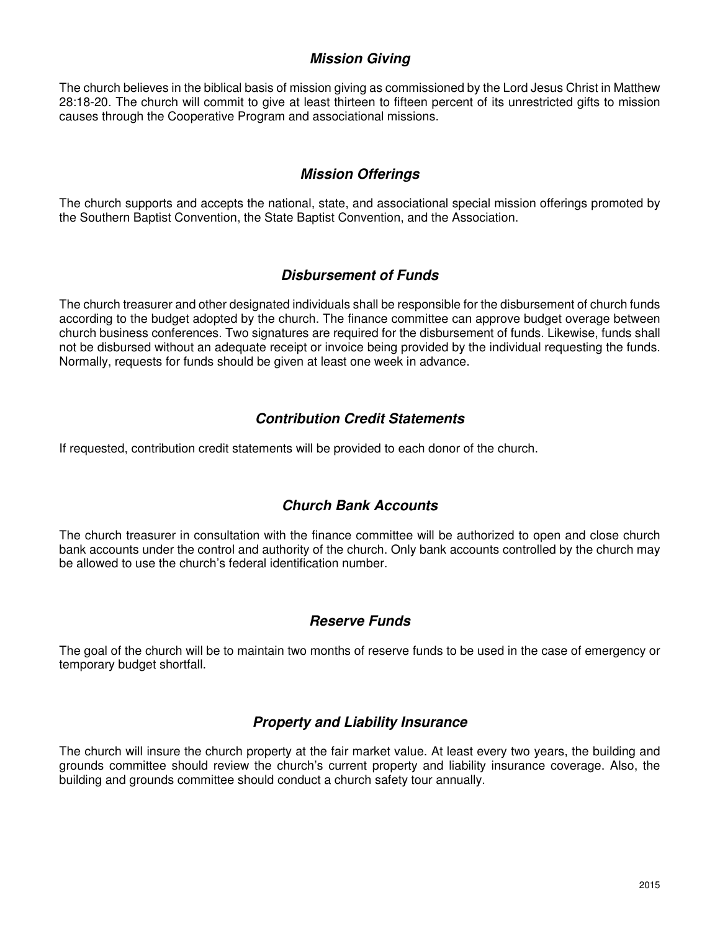#### **Mission Giving**

The church believes in the biblical basis of mission giving as commissioned by the Lord Jesus Christ in Matthew 28:18-20. The church will commit to give at least thirteen to fifteen percent of its unrestricted gifts to mission causes through the Cooperative Program and associational missions.

# **Mission Offerings**

The church supports and accepts the national, state, and associational special mission offerings promoted by the Southern Baptist Convention, the State Baptist Convention, and the Association.

#### **Disbursement of Funds**

The church treasurer and other designated individuals shall be responsible for the disbursement of church funds according to the budget adopted by the church. The finance committee can approve budget overage between church business conferences. Two signatures are required for the disbursement of funds. Likewise, funds shall not be disbursed without an adequate receipt or invoice being provided by the individual requesting the funds. Normally, requests for funds should be given at least one week in advance.

# **Contribution Credit Statements**

If requested, contribution credit statements will be provided to each donor of the church.

# **Church Bank Accounts**

The church treasurer in consultation with the finance committee will be authorized to open and close church bank accounts under the control and authority of the church. Only bank accounts controlled by the church may be allowed to use the church's federal identification number.

#### **Reserve Funds**

The goal of the church will be to maintain two months of reserve funds to be used in the case of emergency or temporary budget shortfall.

#### **Property and Liability Insurance**

The church will insure the church property at the fair market value. At least every two years, the building and grounds committee should review the church's current property and liability insurance coverage. Also, the building and grounds committee should conduct a church safety tour annually.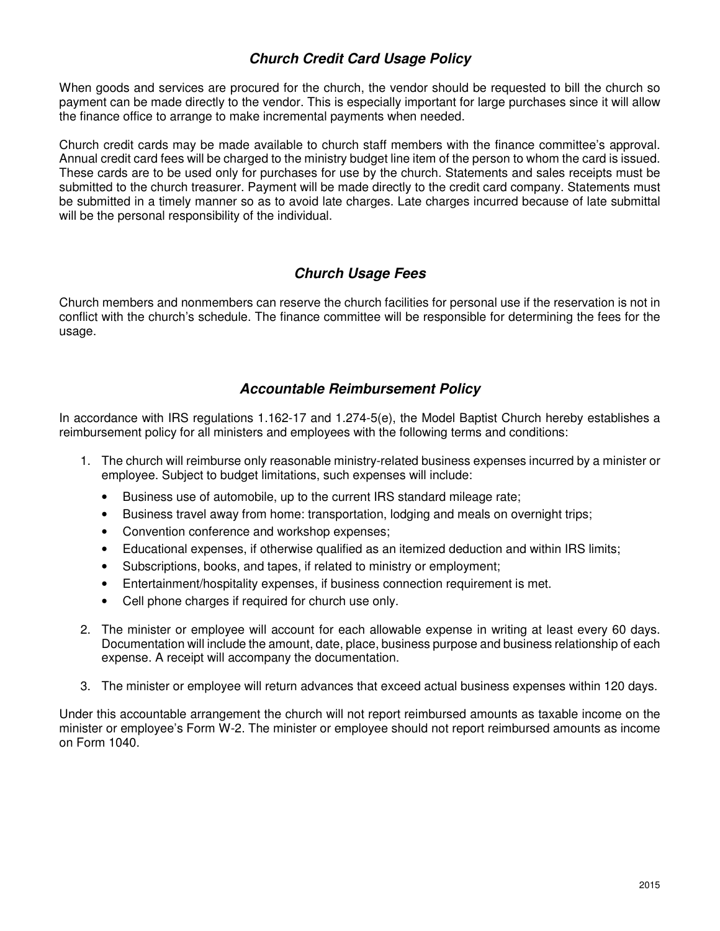## **Church Credit Card Usage Policy**

When goods and services are procured for the church, the vendor should be requested to bill the church so payment can be made directly to the vendor. This is especially important for large purchases since it will allow the finance office to arrange to make incremental payments when needed.

Church credit cards may be made available to church staff members with the finance committee's approval. Annual credit card fees will be charged to the ministry budget line item of the person to whom the card is issued. These cards are to be used only for purchases for use by the church. Statements and sales receipts must be submitted to the church treasurer. Payment will be made directly to the credit card company. Statements must be submitted in a timely manner so as to avoid late charges. Late charges incurred because of late submittal will be the personal responsibility of the individual.

# **Church Usage Fees**

Church members and nonmembers can reserve the church facilities for personal use if the reservation is not in conflict with the church's schedule. The finance committee will be responsible for determining the fees for the usage.

#### **Accountable Reimbursement Policy**

In accordance with IRS regulations 1.162-17 and 1.274-5(e), the Model Baptist Church hereby establishes a reimbursement policy for all ministers and employees with the following terms and conditions:

- 1. The church will reimburse only reasonable ministry-related business expenses incurred by a minister or employee. Subject to budget limitations, such expenses will include:
	- Business use of automobile, up to the current IRS standard mileage rate;
	- Business travel away from home: transportation, lodging and meals on overnight trips;
	- Convention conference and workshop expenses;
	- Educational expenses, if otherwise qualified as an itemized deduction and within IRS limits;
	- Subscriptions, books, and tapes, if related to ministry or employment;
	- Entertainment/hospitality expenses, if business connection requirement is met.
	- Cell phone charges if required for church use only.
- 2. The minister or employee will account for each allowable expense in writing at least every 60 days. Documentation will include the amount, date, place, business purpose and business relationship of each expense. A receipt will accompany the documentation.
- 3. The minister or employee will return advances that exceed actual business expenses within 120 days.

Under this accountable arrangement the church will not report reimbursed amounts as taxable income on the minister or employee's Form W-2. The minister or employee should not report reimbursed amounts as income on Form 1040.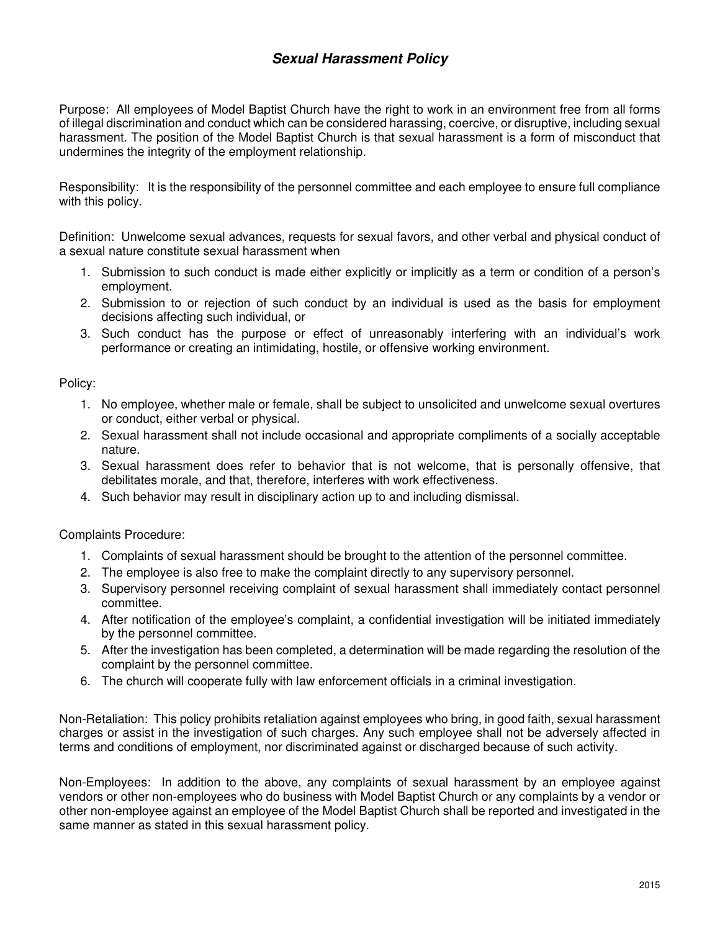# **Sexual Harassment Policy**

Purpose: All employees of Model Baptist Church have the right to work in an environment free from all forms of illegal discrimination and conduct which can be considered harassing, coercive, or disruptive, including sexual harassment. The position of the Model Baptist Church is that sexual harassment is a form of misconduct that undermines the integrity of the employment relationship.

Responsibility: It is the responsibility of the personnel committee and each employee to ensure full compliance with this policy.

Definition: Unwelcome sexual advances, requests for sexual favors, and other verbal and physical conduct of a sexual nature constitute sexual harassment when

- 1. Submission to such conduct is made either explicitly or implicitly as a term or condition of a person's employment.
- 2. Submission to or rejection of such conduct by an individual is used as the basis for employment decisions affecting such individual, or
- 3. Such conduct has the purpose or effect of unreasonably interfering with an individual's work performance or creating an intimidating, hostile, or offensive working environment.

Policy:

- 1. No employee, whether male or female, shall be subject to unsolicited and unwelcome sexual overtures or conduct, either verbal or physical.
- 2. Sexual harassment shall not include occasional and appropriate compliments of a socially acceptable nature.
- 3. Sexual harassment does refer to behavior that is not welcome, that is personally offensive, that debilitates morale, and that, therefore, interferes with work effectiveness.
- 4. Such behavior may result in disciplinary action up to and including dismissal.

Complaints Procedure:

- 1. Complaints of sexual harassment should be brought to the attention of the personnel committee.
- 2. The employee is also free to make the complaint directly to any supervisory personnel.
- 3. Supervisory personnel receiving complaint of sexual harassment shall immediately contact personnel committee.
- 4. After notification of the employee's complaint, a confidential investigation will be initiated immediately by the personnel committee.
- 5. After the investigation has been completed, a determination will be made regarding the resolution of the complaint by the personnel committee.
- 6. The church will cooperate fully with law enforcement officials in a criminal investigation.

Non-Retaliation: This policy prohibits retaliation against employees who bring, in good faith, sexual harassment charges or assist in the investigation of such charges. Any such employee shall not be adversely affected in terms and conditions of employment, nor discriminated against or discharged because of such activity.

Non-Employees: In addition to the above, any complaints of sexual harassment by an employee against vendors or other non-employees who do business with Model Baptist Church or any complaints by a vendor or other non-employee against an employee of the Model Baptist Church shall be reported and investigated in the same manner as stated in this sexual harassment policy.